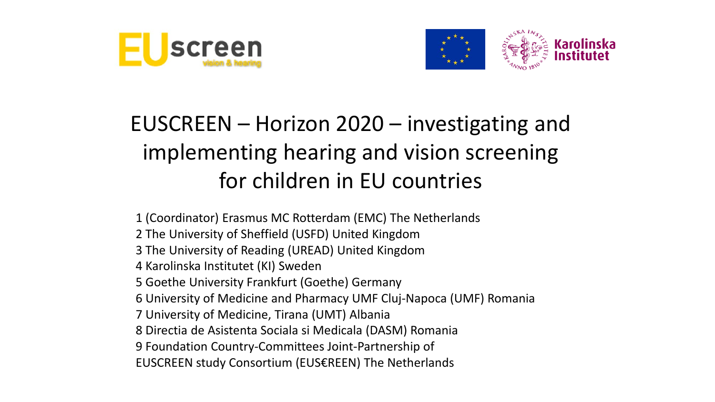



#### EUSCREEN – Horizon 2020 – investigating and implementing hearing and vision screening for children in EU countries

1 (Coordinator) Erasmus MC Rotterdam (EMC) The Netherlands 2 The University of Sheffield (USFD) United Kingdom 3 The University of Reading (UREAD) United Kingdom 4 Karolinska Institutet (KI) Sweden 5 Goethe University Frankfurt (Goethe) Germany 6 University of Medicine and Pharmacy UMF Cluj-Napoca (UMF) Romania 7 University of Medicine, Tirana (UMT) Albania 8 Directia de Asistenta Sociala si Medicala (DASM) Romania 9 Foundation Country-Committees Joint-Partnership of EUSCREEN study Consortium (EUS€REEN) The Netherlands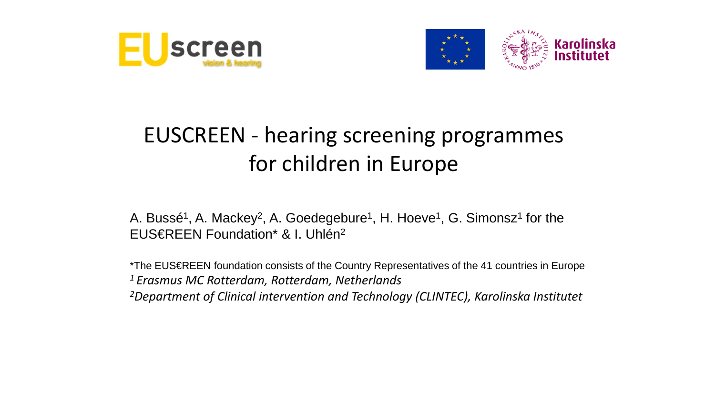



#### EUSCREEN - hearing screening programmes for children in Europe

A. Bussé<sup>1</sup>, A. Mackey<sup>2</sup>, A. Goedegebure<sup>1</sup>, H. Hoeve<sup>1</sup>, G. Simonsz<sup>1</sup> for the EUS€REEN Foundation\* & I. Uhlén2

\*The EUS€REEN foundation consists of the Country Representatives of the 41 countries in Europe *1 Erasmus MC Rotterdam, Rotterdam, Netherlands 2Department of Clinical intervention and Technology (CLINTEC), Karolinska Institutet*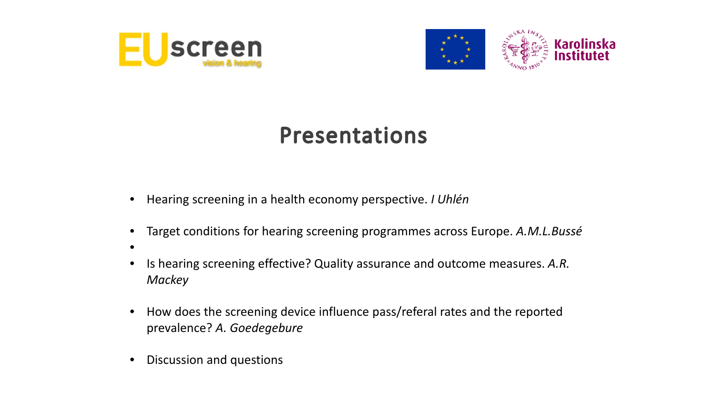



#### **Presentations**

- Hearing screening in a health economy perspective. *I Uhlén*
- Target conditions for hearing screening programmes across Europe. *A.M.L.Bussé*
- •
- Is hearing screening effective? Quality assurance and outcome measures. *A.R. Mackey*
- How does the screening device influence pass/referal rates and the reported prevalence? *A. Goedegebure*
- Discussion and questions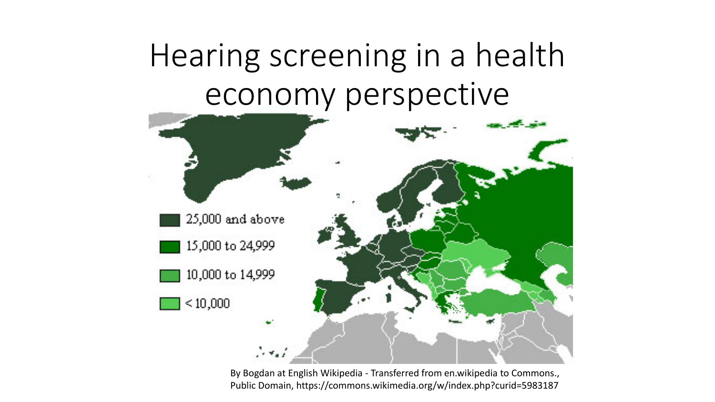# Hearing screening in a health economy perspective



By Bogdan at English Wikipedia - Transferred from en.wikipedia to Commons., Public Domain, https://commons.wikimedia.org/w/index.php?curid=5983187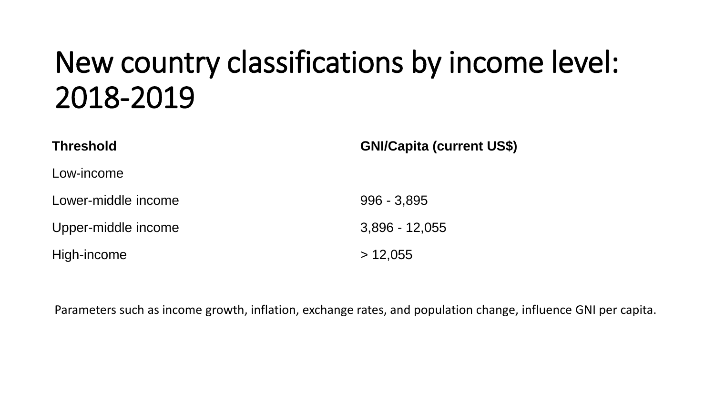## New country classifications by income level: 2018-2019

| <b>Threshold</b>    | <b>GNI/Capita (current US\$)</b> |
|---------------------|----------------------------------|
| Low-income          |                                  |
| Lower-middle income | $996 - 3,895$                    |
| Upper-middle income | $3,896 - 12,055$                 |
| High-income         | > 12,055                         |

Parameters such as income growth, inflation, exchange rates, and population change, influence GNI per capita.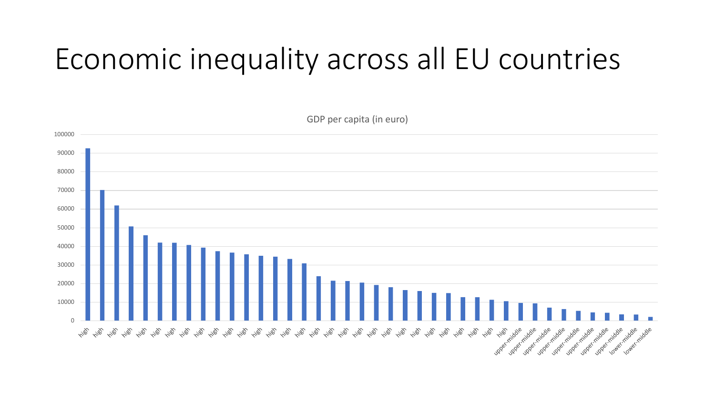## Economic inequality across all EU countries

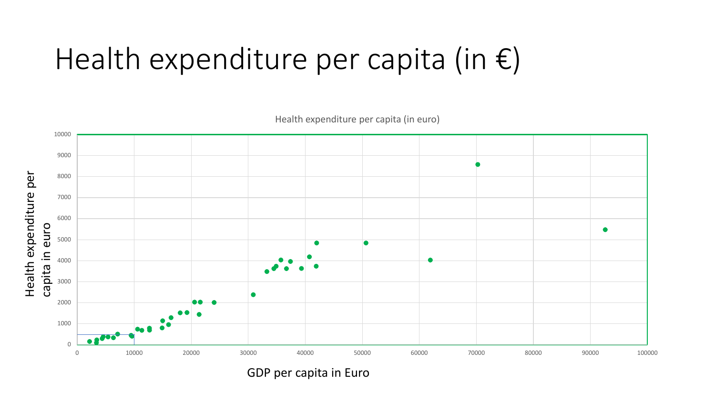## Health expenditure per capita (in €)



Health expenditure per capita (in euro)

GDP per capita in Euro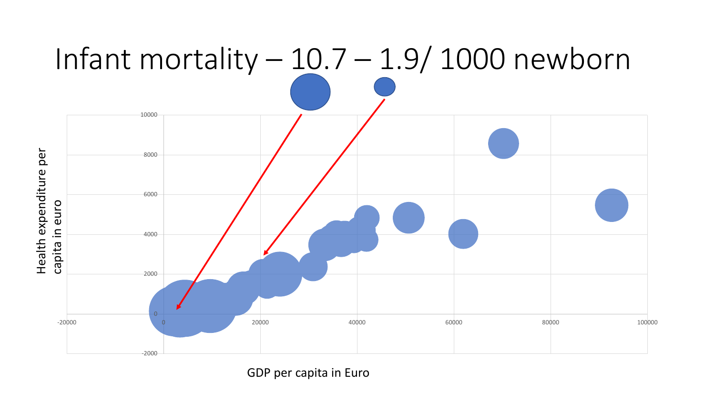

GDP per capita in Euro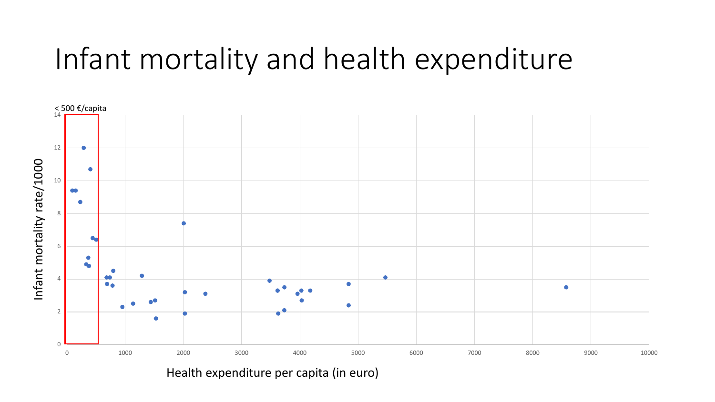### Infant mortality and health expenditure



Health expenditure per capita (in euro)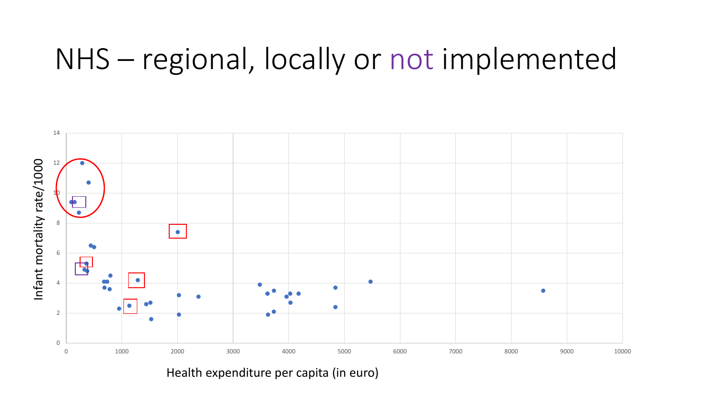#### NHS – regional, locally or not implemented



Health expenditure per capita (in euro)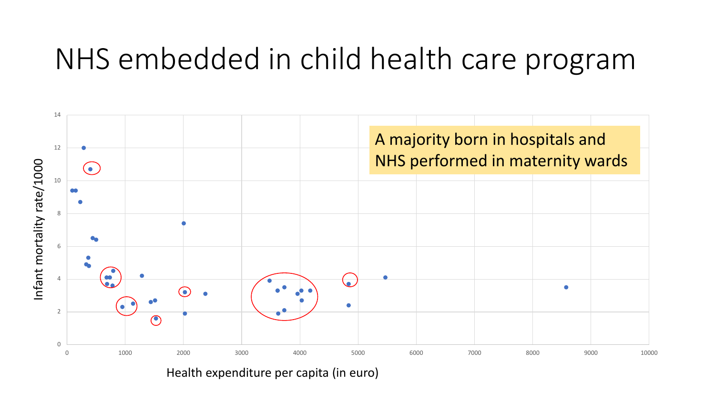#### NHS embedded in child health care program



Health expenditure per capita (in euro)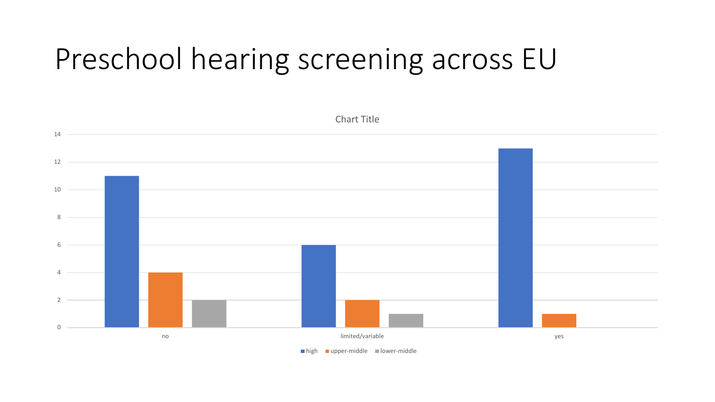## Preschool hearing screening across EU